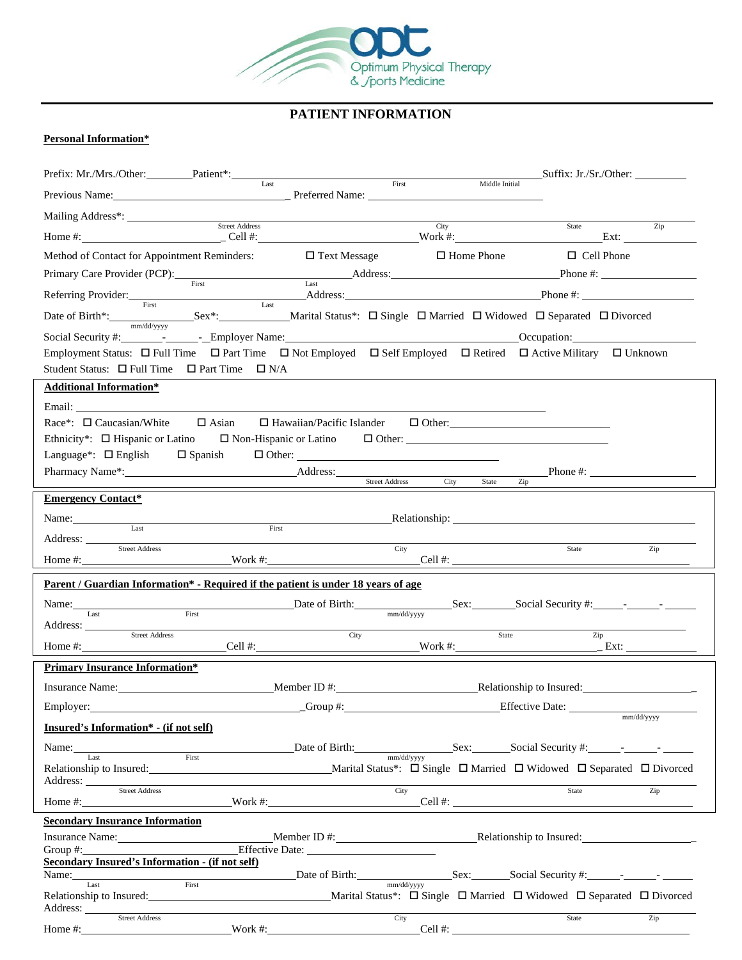

# **PATIENT INFORMATION**

### **Personal Information\***

| Prefix: Mr./Mrs./Other: Patient*: Last                                                                                                             |                 |                     | First |                   | Middle Initial                                            | Suffix: Jr./Sr./Other: |
|----------------------------------------------------------------------------------------------------------------------------------------------------|-----------------|---------------------|-------|-------------------|-----------------------------------------------------------|------------------------|
| Previous Name: <u>Previous Name:</u> Preferred Name: <u>Preferred Name:</u> Preferred Name: 2008.                                                  |                 |                     |       |                   |                                                           |                        |
| Mailing Address*: Street Address                                                                                                                   |                 |                     |       |                   |                                                           |                        |
|                                                                                                                                                    |                 |                     |       | City              | State                                                     | Zip                    |
| Method of Contact for Appointment Reminders:                                                                                                       |                 | $\Box$ Text Message |       | $\Box$ Home Phone | $\Box$ Cell Phone                                         |                        |
|                                                                                                                                                    |                 |                     |       |                   |                                                           |                        |
| Referring Provider: First Referring Provider: Address: Address: Phone #:                                                                           |                 |                     |       |                   |                                                           |                        |
| Date of Birth*: Sex*: Sex*: Marital Status*: $\Box$ Single $\Box$ Married $\Box$ Widowed $\Box$ Separated $\Box$ Divorced                          |                 |                     |       |                   |                                                           |                        |
|                                                                                                                                                    |                 |                     |       |                   |                                                           |                        |
| Employment Status: $\Box$ Full Time $\Box$ Part Time $\Box$ Not Employed $\Box$ Self Employed $\Box$ Retired $\Box$ Active Military $\Box$ Unknown |                 |                     |       |                   |                                                           |                        |
| Student Status: $\Box$ Full Time $\Box$ Part Time $\Box$ N/A                                                                                       |                 |                     |       |                   |                                                           |                        |
| <b>Additional Information*</b>                                                                                                                     |                 |                     |       |                   |                                                           |                        |
|                                                                                                                                                    |                 |                     |       |                   |                                                           |                        |
| $\text{Race}^*$ : $\Box$ Caucasian/White $\Box$ Asian $\Box$ Hawaiian/Pacific Islander $\Box$ Other:                                               |                 |                     |       |                   |                                                           |                        |
| Ethnicity*: $\Box$ Hispanic or Latino<br>Language <sup>*</sup> : $\Box$ English $\Box$ Spanish                                                     |                 |                     |       |                   | $\Box$ Non-Hispanic or Latino $\Box$ Other: $\Box$ Other: |                        |
|                                                                                                                                                    |                 |                     |       |                   |                                                           |                        |
|                                                                                                                                                    |                 |                     |       |                   |                                                           |                        |
| <b>Emergency Contact*</b>                                                                                                                          |                 |                     |       |                   |                                                           |                        |
| Last                                                                                                                                               | First           |                     |       |                   |                                                           |                        |
| Address: Street Address                                                                                                                            |                 |                     | City  |                   | State                                                     | Zip                    |
|                                                                                                                                                    |                 |                     |       |                   |                                                           |                        |
| Parent / Guardian Information* - Required if the patient is under 18 years of age                                                                  |                 |                     |       |                   |                                                           |                        |
|                                                                                                                                                    |                 |                     |       |                   |                                                           |                        |
| Address:                                                                                                                                           |                 |                     |       |                   |                                                           |                        |
| Street Address                                                                                                                                     |                 | City                |       |                   | State                                                     | Zip                    |
|                                                                                                                                                    |                 |                     |       |                   |                                                           |                        |
| <b>Primary Insurance Information*</b>                                                                                                              |                 |                     |       |                   |                                                           |                        |
| Insurance Name: Member ID #: Member ID #: Relationship to Insured:                                                                                 |                 |                     |       |                   |                                                           |                        |
| Employer:                                                                                                                                          |                 | $Group \#:$         |       |                   | <b>Effective Date:</b>                                    | mm/dd/yyyy             |
| Insured's Information* - (if not self)                                                                                                             |                 |                     |       |                   |                                                           |                        |
|                                                                                                                                                    |                 |                     |       |                   |                                                           |                        |
| Relationship to Insured: The Contract of the Marital Status*: □ Single □ Married □ Widowed □ Separated □ Divorced                                  |                 |                     |       |                   |                                                           |                        |
| Address: Street Address                                                                                                                            |                 |                     | City  |                   | State                                                     | Zip                    |
| <b>Secondary Insurance Information</b>                                                                                                             |                 |                     |       |                   |                                                           |                        |
| Insurance Name: Member ID #: Member ID #: Relationship to Insured:                                                                                 |                 |                     |       |                   |                                                           |                        |
| Group $#$ :                                                                                                                                        | Effective Date: |                     |       |                   |                                                           |                        |
| <b>Secondary Insured's Information - (if not self)</b>                                                                                             |                 |                     |       |                   |                                                           |                        |
|                                                                                                                                                    |                 |                     |       |                   |                                                           |                        |
| Address: <u>Street Address</u>                                                                                                                     |                 |                     |       |                   |                                                           |                        |
| Home $\#$ : $\qquad \qquad$                                                                                                                        |                 |                     | City  |                   | State<br>$\text{Work } #:$ $\text{Cell } #:$              | Zip                    |
|                                                                                                                                                    |                 |                     |       |                   |                                                           |                        |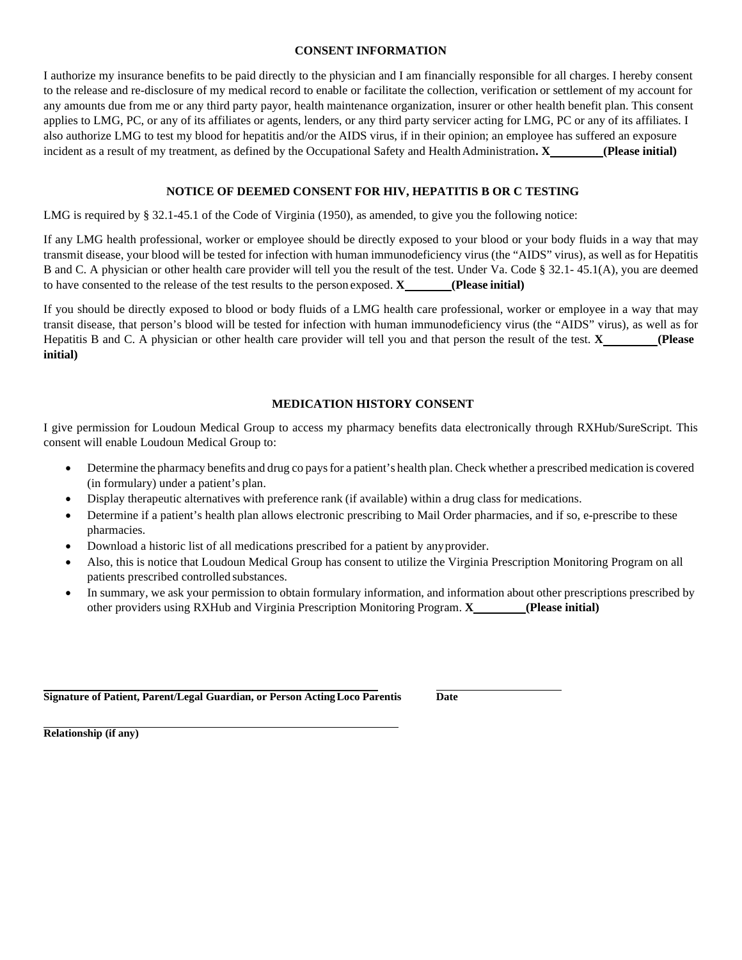#### **CONSENT INFORMATION**

I authorize my insurance benefits to be paid directly to the physician and I am financially responsible for all charges. I hereby consent to the release and re-disclosure of my medical record to enable or facilitate the collection, verification or settlement of my account for any amounts due from me or any third party payor, health maintenance organization, insurer or other health benefit plan. This consent applies to LMG, PC, or any of its affiliates or agents, lenders, or any third party servicer acting for LMG, PC or any of its affiliates. I also authorize LMG to test my blood for hepatitis and/or the AIDS virus, if in their opinion; an employee has suffered an exposure incident as a result of my treatment, as defined by the Occupational Safety and HealthAdministration**. X (Please initial)**

#### **NOTICE OF DEEMED CONSENT FOR HIV, HEPATITIS B OR C TESTING**

LMG is required by § 32.1-45.1 of the Code of Virginia (1950), as amended, to give you the following notice:

If any LMG health professional, worker or employee should be directly exposed to your blood or your body fluids in a way that may transmit disease, your blood will be tested for infection with human immunodeficiency virus (the "AIDS" virus), as well as for Hepatitis B and C. A physician or other health care provider will tell you the result of the test. Under Va. Code § 32.1- 45.1(A), you are deemed to have consented to the release of the test results to the person exposed. **X (Please initial)**

If you should be directly exposed to blood or body fluids of a LMG health care professional, worker or employee in a way that may transit disease, that person's blood will be tested for infection with human immunodeficiency virus (the "AIDS" virus), as well as for Hepatitis B and C. A physician or other health care provider will tell you and that person the result of the test. **X (Please initial)**

#### **MEDICATION HISTORY CONSENT**

I give permission for Loudoun Medical Group to access my pharmacy benefits data electronically through RXHub/SureScript. This consent will enable Loudoun Medical Group to:

- Determine the pharmacy benefits and drug co paysfor a patient's health plan. Check whether a prescribed medication is covered (in formulary) under a patient's plan.
- Display therapeutic alternatives with preference rank (if available) within a drug class for medications.
- Determine if a patient's health plan allows electronic prescribing to Mail Order pharmacies, and if so, e-prescribe to these pharmacies.
- Download a historic list of all medications prescribed for a patient by anyprovider.
- Also, this is notice that Loudoun Medical Group has consent to utilize the Virginia Prescription Monitoring Program on all patients prescribed controlled substances.
- In summary, we ask your permission to obtain formulary information, and information about other prescriptions prescribed by other providers using RXHub and Virginia Prescription Monitoring Program. **X (Please initial)**

**Signature of Patient, Parent/Legal Guardian, or Person ActingLoco Parentis Date**

**Relationship (if any)**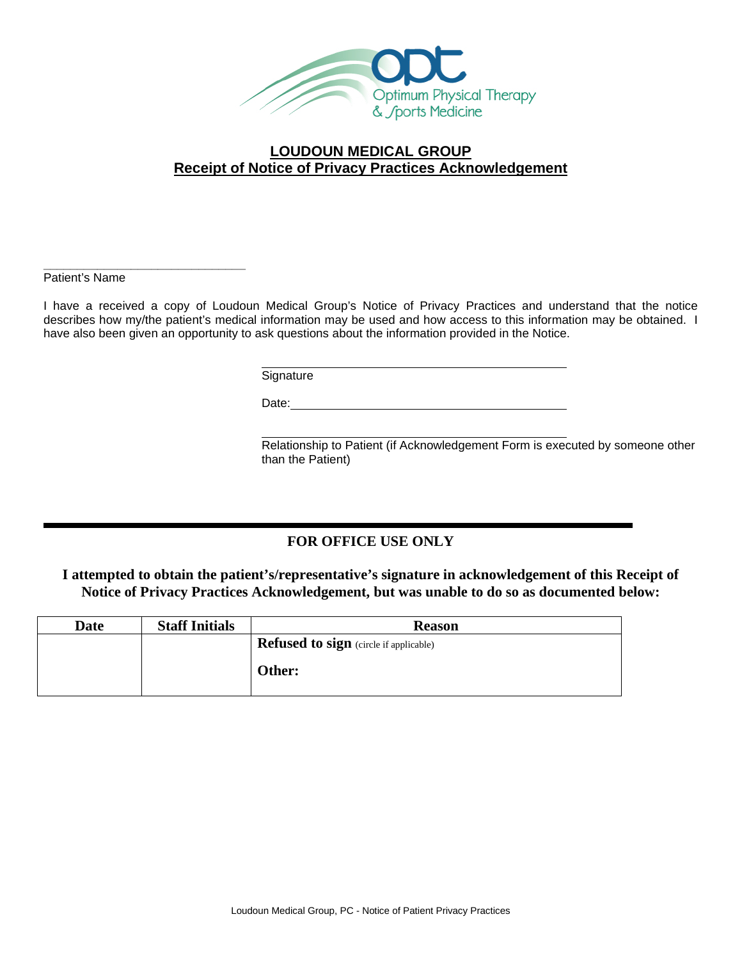

## **LOUDOUN MEDICAL GROUP Receipt of Notice of Privacy Practices Acknowledgement**

**\_\_\_\_\_\_\_\_\_\_\_\_\_\_\_\_\_\_\_\_\_\_\_\_\_\_\_\_\_\_** Patient's Name

I have a received a copy of Loudoun Medical Group's Notice of Privacy Practices and understand that the notice describes how my/the patient's medical information may be used and how access to this information may be obtained. I have also been given an opportunity to ask questions about the information provided in the Notice.

**Signature** 

Date: experience and the second state of the second state and the second state of the second state  $\sim$ 

Relationship to Patient (if Acknowledgement Form is executed by someone other than the Patient)

## **FOR OFFICE USE ONLY**

**I attempted to obtain the patient's/representative's signature in acknowledgement of this Receipt of Notice of Privacy Practices Acknowledgement, but was unable to do so as documented below:**

| Date | <b>Staff Initials</b> | <b>Reason</b>                                 |
|------|-----------------------|-----------------------------------------------|
|      |                       | <b>Refused to sign</b> (circle if applicable) |
|      |                       | Other:                                        |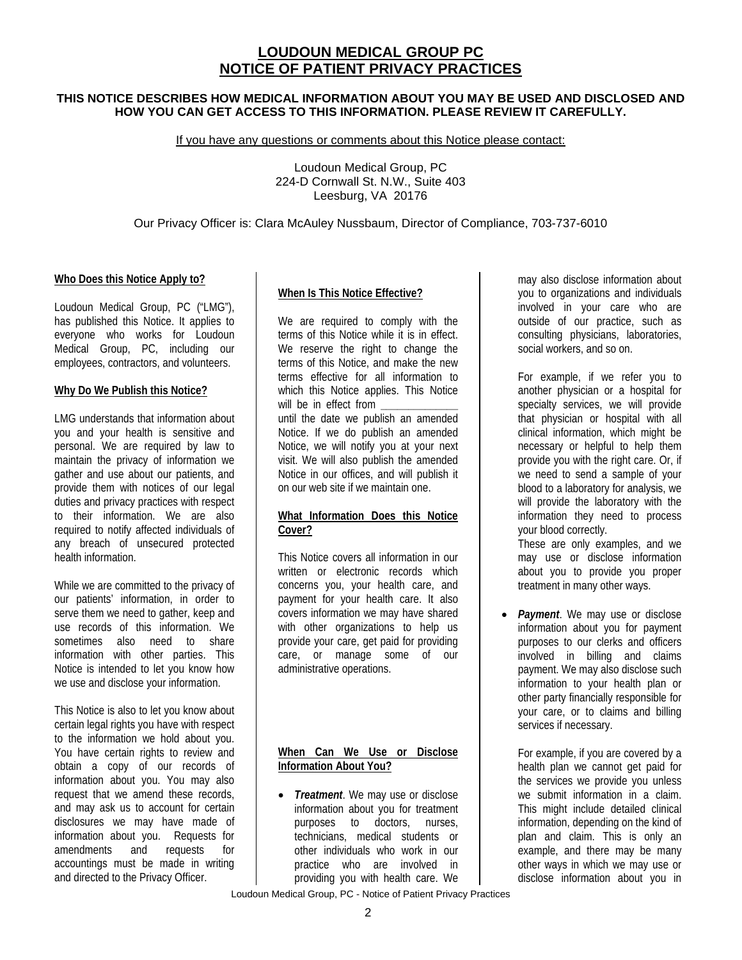# **LOUDOUN MEDICAL GROUP PC NOTICE OF PATIENT PRIVACY PRACTICES**

### **THIS NOTICE DESCRIBES HOW MEDICAL INFORMATION ABOUT YOU MAY BE USED AND DISCLOSED AND HOW YOU CAN GET ACCESS TO THIS INFORMATION. PLEASE REVIEW IT CAREFULLY.**

If you have any questions or comments about this Notice please contact:

Loudoun Medical Group, PC 224-D Cornwall St. N.W., Suite 403 Leesburg, VA 20176

### Our Privacy Officer is: Clara McAuley Nussbaum, Director of Compliance, 703-737-6010

### **Who Does this Notice Apply to?**

Loudoun Medical Group, PC ("LMG"), has published this Notice. It applies to everyone who works for Loudoun Medical Group, PC, including our employees, contractors, and volunteers.

#### **Why Do We Publish this Notice?**

LMG understands that information about you and your health is sensitive and personal. We are required by law to maintain the privacy of information we gather and use about our patients, and provide them with notices of our legal duties and privacy practices with respect to their information. We are also required to notify affected individuals of any breach of unsecured protected health information.

While we are committed to the privacy of our patients' information, in order to serve them we need to gather, keep and use records of this information. We sometimes also need to share information with other parties. This Notice is intended to let you know how we use and disclose your information.

This Notice is also to let you know about certain legal rights you have with respect to the information we hold about you. You have certain rights to review and obtain a copy of our records of information about you. You may also request that we amend these records, and may ask us to account for certain disclosures we may have made of information about you. Requests for amendments and requests for accountings must be made in writing and directed to the Privacy Officer.

### **When Is This Notice Effective?**

We are required to comply with the terms of this Notice while it is in effect. We reserve the right to change the terms of this Notice, and make the new terms effective for all information to which this Notice applies. This Notice will be in effect from until the date we publish an amended Notice. If we do publish an amended Notice, we will notify you at your next visit. We will also publish the amended Notice in our offices, and will publish it on our web site if we maintain one.

### **What Information Does this Notice Cover?**

This Notice covers all information in our written or electronic records which concerns you, your health care, and payment for your health care. It also covers information we may have shared with other organizations to help us provide your care, get paid for providing care, or manage some of our administrative operations.

### **When Can We Use or Disclose Information About You?**

• *Treatment*. We may use or disclose information about you for treatment purposes to doctors, nurses, technicians, medical students or other individuals who work in our practice who are involved in providing you with health care. We may also disclose information about you to organizations and individuals involved in your care who are outside of our practice, such as consulting physicians, laboratories, social workers, and so on.

For example, if we refer you to another physician or a hospital for specialty services, we will provide that physician or hospital with all clinical information, which might be necessary or helpful to help them provide you with the right care. Or, if we need to send a sample of your blood to a laboratory for analysis, we will provide the laboratory with the information they need to process your blood correctly.

These are only examples, and we may use or disclose information about you to provide you proper treatment in many other ways.

• *Payment*. We may use or disclose information about you for payment purposes to our clerks and officers involved in billing and claims payment. We may also disclose such information to your health plan or other party financially responsible for your care, or to claims and billing services if necessary.

For example, if you are covered by a health plan we cannot get paid for the services we provide you unless we submit information in a claim. This might include detailed clinical information, depending on the kind of plan and claim. This is only an example, and there may be many other ways in which we may use or disclose information about you in

Loudoun Medical Group, PC - Notice of Patient Privacy Practices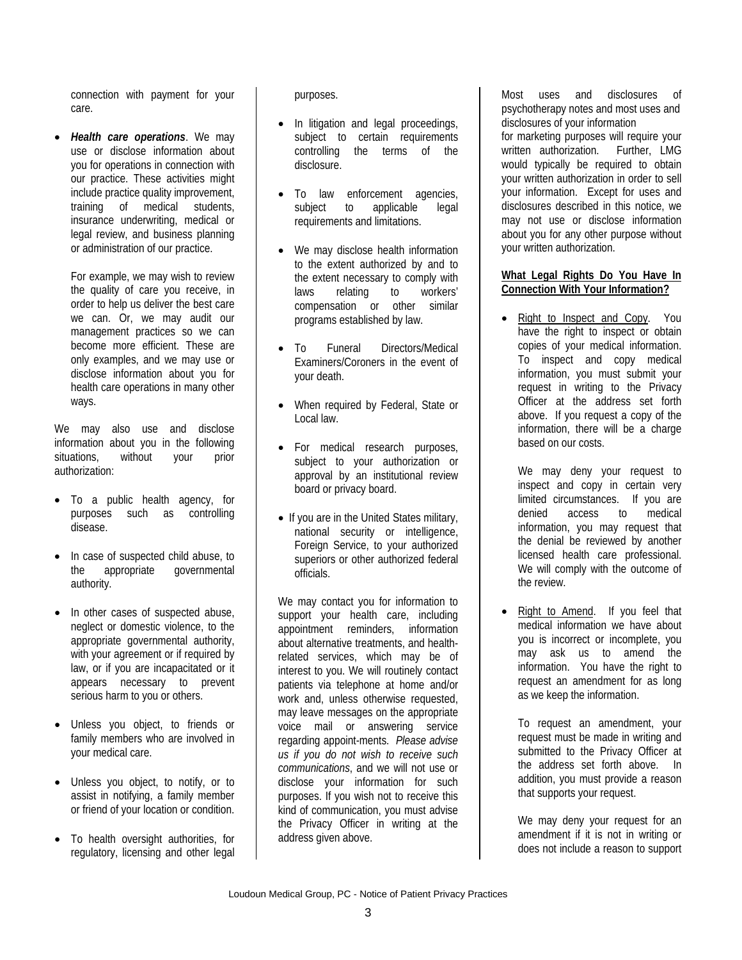connection with payment for your care.

• *Health care operations*. We may use or disclose information about you for operations in connection with our practice. These activities might include practice quality improvement, training of medical students, insurance underwriting, medical or legal review, and business planning or administration of our practice.

For example, we may wish to review the quality of care you receive, in order to help us deliver the best care we can. Or, we may audit our management practices so we can become more efficient. These are only examples, and we may use or disclose information about you for health care operations in many other ways.

We may also use and disclose information about you in the following situations, without your prior authorization:

- To a public health agency, for<br>purposes such as controlling such as controlling disease.
- In case of suspected child abuse, to the appropriate governmental authority.
- In other cases of suspected abuse, neglect or domestic violence, to the appropriate governmental authority, with your agreement or if required by law, or if you are incapacitated or it appears necessary to prevent serious harm to you or others.
- Unless you object, to friends or family members who are involved in your medical care.
- Unless you object, to notify, or to assist in notifying, a family member or friend of your location or condition.
- To health oversight authorities, for regulatory, licensing and other legal

purposes.

- In litigation and legal proceedings, subject to certain requirements controlling the terms of the disclosure.
- To law enforcement agencies, subject to applicable legal requirements and limitations.
- We may disclose health information to the extent authorized by and to the extent necessary to comply with laws relating to workers' compensation or other similar programs established by law.
- To Funeral Directors/Medical Examiners/Coroners in the event of your death.
- When required by Federal, State or Local law.
- For medical research purposes, subject to your authorization or approval by an institutional review board or privacy board.
- If you are in the United States military, national security or intelligence, Foreign Service, to your authorized superiors or other authorized federal officials.

We may contact you for information to support your health care, including appointment reminders, information about alternative treatments, and healthrelated services, which may be of interest to you. We will routinely contact patients via telephone at home and/or work and, unless otherwise requested, may leave messages on the appropriate voice mail or answering service regarding appoint-ments. *Please advise us if you do not wish to receive such communications*, and we will not use or disclose your information for such purposes. If you wish not to receive this kind of communication, you must advise the Privacy Officer in writing at the address given above.

Most uses and disclosures of psychotherapy notes and most uses and disclosures of your information for marketing purposes will require your written authorization. Further, LMG would typically be required to obtain your written authorization in order to sell your information. Except for uses and disclosures described in this notice, we may not use or disclose information about you for any other purpose without your written authorization.

### **What Legal Rights Do You Have In Connection With Your Information?**

• Right to Inspect and Copy. You have the right to inspect or obtain copies of your medical information. To inspect and copy medical information, you must submit your request in writing to the Privacy Officer at the address set forth above. If you request a copy of the information, there will be a charge based on our costs.

We may deny your request to inspect and copy in certain very limited circumstances. If you are denied access to medical information, you may request that the denial be reviewed by another licensed health care professional. We will comply with the outcome of the review.

• Right to Amend. If you feel that medical information we have about you is incorrect or incomplete, you may ask us to amend the information. You have the right to request an amendment for as long as we keep the information.

To request an amendment, your request must be made in writing and submitted to the Privacy Officer at the address set forth above. In addition, you must provide a reason that supports your request.

We may deny your request for an amendment if it is not in writing or does not include a reason to support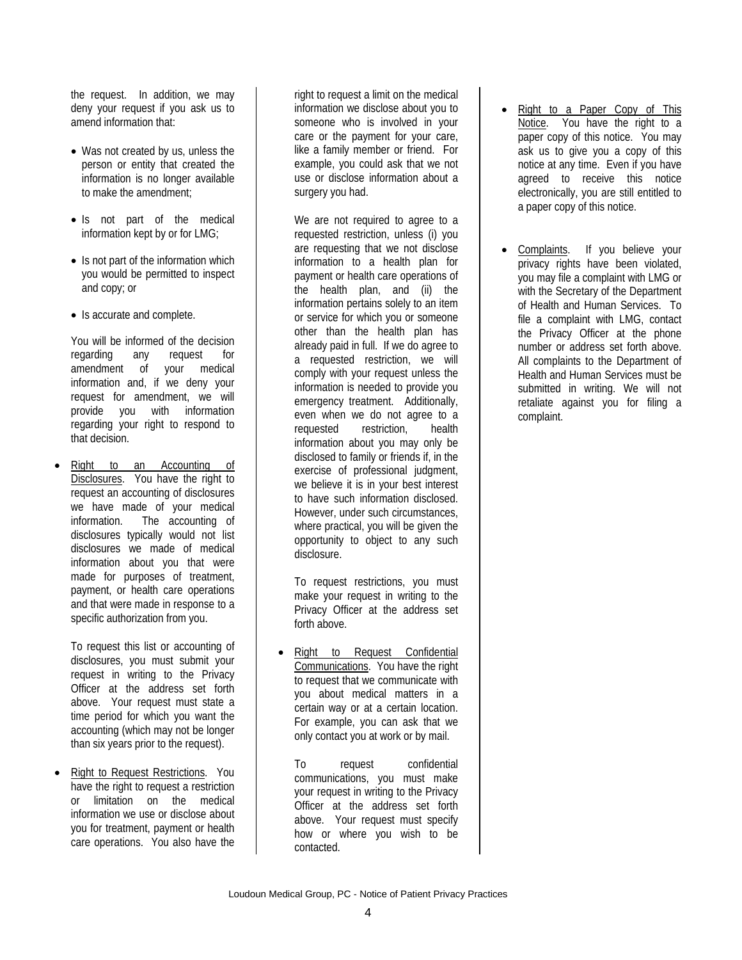the request. In addition, we may deny your request if you ask us to amend information that:

- Was not created by us, unless the person or entity that created the information is no longer available to make the amendment;
- Is not part of the medical information kept by or for LMG;
- Is not part of the information which you would be permitted to inspect and copy; or
- Is accurate and complete.

You will be informed of the decision regarding any request for amendment of your medical information and, if we deny your request for amendment, we will provide you with information regarding your right to respond to that decision.

• Right to an Accounting of Disclosures. You have the right to request an accounting of disclosures we have made of your medical information. The accounting of disclosures typically would not list disclosures we made of medical information about you that were made for purposes of treatment, payment, or health care operations and that were made in response to a specific authorization from you.

To request this list or accounting of disclosures, you must submit your request in writing to the Privacy Officer at the address set forth above. Your request must state a time period for which you want the accounting (which may not be longer than six years prior to the request).

• Right to Request Restrictions. You have the right to request a restriction or limitation on the medical information we use or disclose about you for treatment, payment or health care operations. You also have the

right to request a limit on the medical information we disclose about you to someone who is involved in your care or the payment for your care, like a family member or friend. For example, you could ask that we not use or disclose information about a surgery you had.

We are not required to agree to a requested restriction, unless (i) you are requesting that we not disclose information to a health plan for payment or health care operations of the health plan, and (ii) the information pertains solely to an item or service for which you or someone other than the health plan has already paid in full. If we do agree to a requested restriction, we will comply with your request unless the information is needed to provide you emergency treatment. Additionally, even when we do not agree to a requested restriction, health information about you may only be disclosed to family or friends if, in the exercise of professional judgment, we believe it is in your best interest to have such information disclosed. However, under such circumstances, where practical, you will be given the opportunity to object to any such disclosure.

To request restrictions, you must make your request in writing to the Privacy Officer at the address set forth above.

• Right to Request Confidential Communications. You have the right to request that we communicate with you about medical matters in a certain way or at a certain location. For example, you can ask that we only contact you at work or by mail.

To request confidential communications, you must make your request in writing to the Privacy Officer at the address set forth above. Your request must specify how or where you wish to be contacted.

- Right to a Paper Copy of This Notice. You have the right to a paper copy of this notice. You may ask us to give you a copy of this notice at any time. Even if you have agreed to receive this notice electronically, you are still entitled to a paper copy of this notice.
- Complaints. If you believe your privacy rights have been violated, you may file a complaint with LMG or with the Secretary of the Department of Health and Human Services. To file a complaint with LMG, contact the Privacy Officer at the phone number or address set forth above. All complaints to the Department of Health and Human Services must be submitted in writing. We will not retaliate against you for filing a complaint.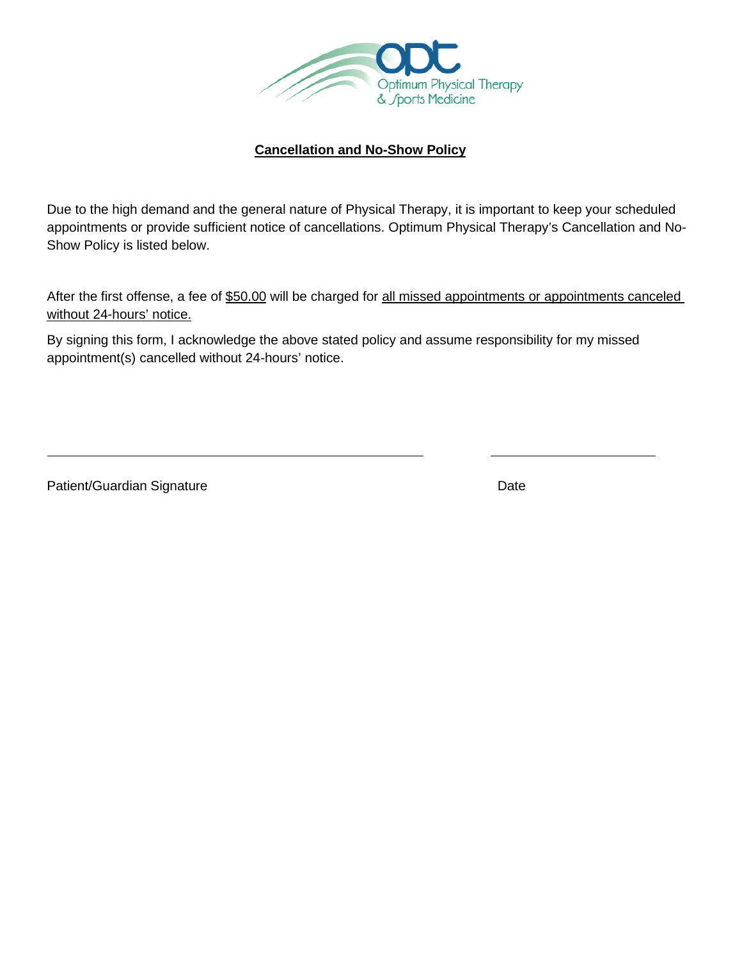

# **Cancellation and No-Show Policy**

Due to the high demand and the general nature of Physical Therapy, it is important to keep your scheduled appointments or provide sufficient notice of cancellations. Optimum Physical Therapy's Cancellation and No-Show Policy is listed below.

After the first offense, a fee of \$50.00 will be charged for all missed appointments or appointments canceled without 24-hours' notice.

By signing this form, I acknowledge the above stated policy and assume responsibility for my missed appointment(s) cancelled without 24-hours' notice.

Patient/Guardian Signature Date Date Date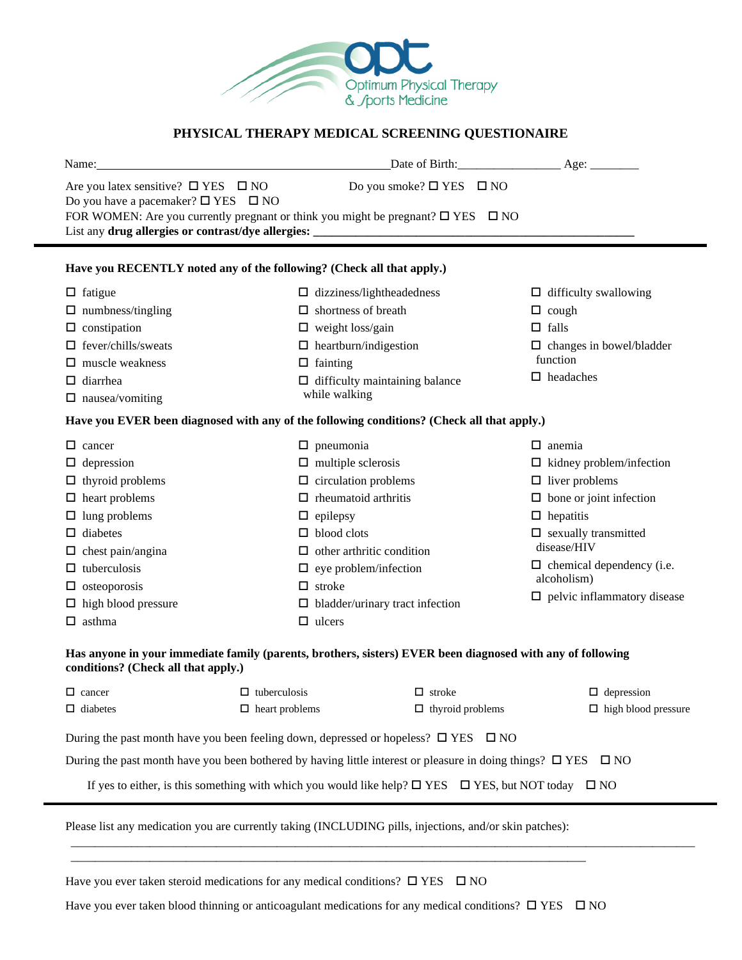

# **PHYSICAL THERAPY MEDICAL SCREENING QUESTIONAIRE**

| Name:                                                                                                | Date of Birth: Age:                                                                        |                                                 |
|------------------------------------------------------------------------------------------------------|--------------------------------------------------------------------------------------------|-------------------------------------------------|
| Are you latex sensitive? $\Box$ YES $\Box$ NO<br>Do you have a pacemaker? $\square$ YES $\square$ NO | Do you smoke? $\square$ YES $\square$ NO                                                   |                                                 |
|                                                                                                      | FOR WOMEN: Are you currently pregnant or think you might be pregnant? $\Box$ YES $\Box$ NO |                                                 |
| Have you RECENTLY noted any of the following? (Check all that apply.)                                |                                                                                            |                                                 |
| $\Box$ fatigue                                                                                       | $\Box$ dizziness/lightheadedness                                                           | $\Box$ difficulty swallowing                    |
| $\Box$ numbness/tingling                                                                             | $\Box$ shortness of breath                                                                 | $\Box$ cough                                    |
| $\Box$ constipation                                                                                  | $\Box$ weight loss/gain                                                                    | $\Box$ falls                                    |
| fever/chills/sweats                                                                                  | $\Box$ heartburn/indigestion                                                               | $\Box$ changes in bowel/bladder                 |
| muscle weakness                                                                                      | $\Box$ fainting                                                                            | function                                        |
| diarrhea<br>□.                                                                                       | $\Box$ difficulty maintaining balance                                                      | $\Box$ headaches                                |
| $\Box$ nausea/vomiting                                                                               | while walking                                                                              |                                                 |
|                                                                                                      | Have you EVER been diagnosed with any of the following conditions? (Check all that apply.) |                                                 |
| □<br>cancer                                                                                          | $\Box$ pneumonia                                                                           | $\Box$ anemia                                   |
| $\Box$ depression                                                                                    | $\Box$ multiple sclerosis                                                                  | $\Box$ kidney problem/infection                 |
| thyroid problems<br>ப                                                                                | $\Box$ circulation problems                                                                | $\Box$ liver problems                           |
| $\Box$ heart problems                                                                                | $\Box$ rheumatoid arthritis                                                                | $\Box$ bone or joint infection                  |
| lung problems<br>□                                                                                   | $\Box$ epilepsy                                                                            | $\Box$ hepatitis                                |
| diabetes<br>□                                                                                        | $\Box$ blood clots                                                                         | $\Box$ sexually transmitted                     |
| chest pain/angina                                                                                    | $\Box$ other arthritic condition                                                           | disease/HIV                                     |
| tuberculosis<br>□<br>osteoporosis<br>ப                                                               | $\Box$ eye problem/infection<br>$\Box$ stroke                                              | $\Box$ chemical dependency (i.e.<br>alcoholism) |
| $\Box$ high blood pressure                                                                           | $\Box$ bladder/urinary tract infection                                                     | $\Box$ pelvic inflammatory disease              |
| $\Box$ asthma                                                                                        | $\Box$ ulcers                                                                              |                                                 |
|                                                                                                      |                                                                                            |                                                 |

### **Has anyone in your immediate family (parents, brothers, sisters) EVER been diagnosed with any of following conditions? (Check all that apply.)**

| $\Box$ cancer                                                                                       | $\Box$ tuberculosis   | $\Box$ stroke                                                                                                            | $\Box$ depression          |
|-----------------------------------------------------------------------------------------------------|-----------------------|--------------------------------------------------------------------------------------------------------------------------|----------------------------|
| $\Box$ diabetes                                                                                     | $\Box$ heart problems | $\Box$ thyroid problems                                                                                                  | $\Box$ high blood pressure |
| During the past month have you been feeling down, depressed or hopeless? $\square$ YES $\square$ NO |                       |                                                                                                                          |                            |
|                                                                                                     |                       | During the past month have you been bothered by having little interest or pleasure in doing things? $\Box$ YES $\Box$ NO |                            |

\_\_\_\_\_\_\_\_\_\_\_\_\_\_\_\_\_\_\_\_\_\_\_\_\_\_\_\_\_\_\_\_\_\_\_\_\_\_\_\_\_\_\_\_\_\_\_\_\_\_\_\_\_\_\_\_\_\_\_\_\_\_\_\_\_\_\_\_\_\_\_\_\_\_\_\_\_\_\_\_\_\_\_\_\_\_\_\_\_\_\_\_\_\_\_\_\_\_\_\_\_\_\_

If yes to either, is this something with which you would like help?  $\Box$  YES  $\Box$  YES, but NOT today  $\Box$  NO

Please list any medication you are currently taking (INCLUDING pills, injections, and/or skin patches):

\_\_\_\_\_\_\_\_\_\_\_\_\_\_\_\_\_\_\_\_\_\_\_\_\_\_\_\_\_\_\_\_\_\_\_\_\_\_\_\_\_\_\_\_\_\_\_\_\_\_\_\_\_\_\_\_\_\_\_\_\_\_\_\_\_\_\_\_\_\_\_\_\_\_\_\_\_\_\_\_\_\_\_\_\_

Have you ever taken steroid medications for any medical conditions?  $\square$  YES  $\square$  NO

l

Have you ever taken blood thinning or anticoagulant medications for any medical conditions?  $\Box$  YES  $\Box$  NO